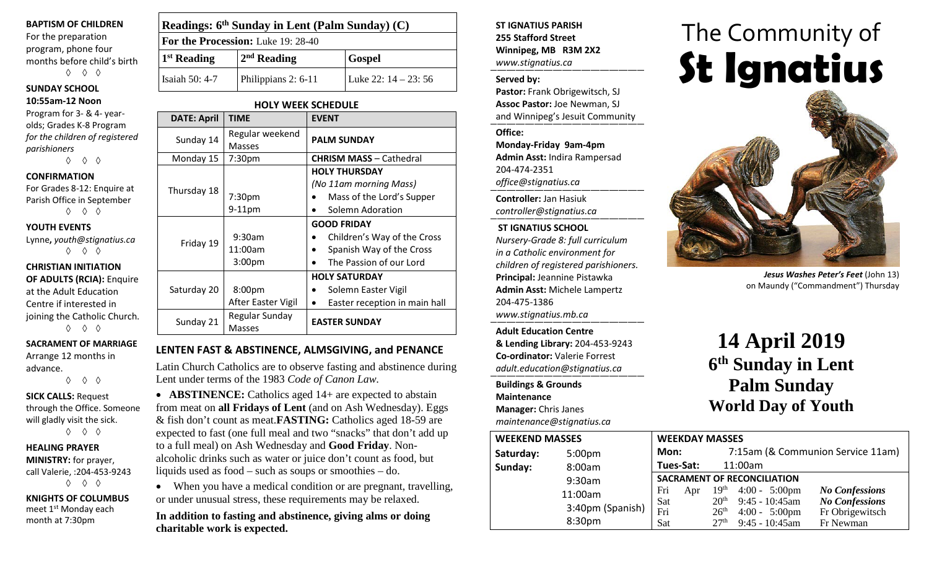#### **BAPTISM OF CHILDREN**

For the preparation program, phone four months before child's birth ◊ ◊ ◊

# **SUNDAY SCHOOL**

#### **10:55am-12 Noon**

Program for 3- & 4- yearolds; Grades K-8 Program *for the children of registered parishioners*

◊ ◊ ◊

#### **CONFIRMATION**

For Grades 8-12: Enquire at Parish Office in September ◊ ◊ ◊

#### **YOUTH EVENTS**

Lynne**,** *youth@stignatius.ca* ◊ ◊ ◊

**CHRISTIAN INITIATION OF ADULTS (RCIA):** Enquire at the Adult Education Centre if interested in joining the Catholic Church. ◊ ◊ ◊

#### **SACRAMENT OF MARRIAGE**

Arrange 12 months in advance. ◊ ◊ ◊

#### **SICK CALLS:** Request through the Office. Someone will gladly visit the sick.

◊ ◊ ◊

### **HEALING PRAYER MINISTRY:** for prayer,

call Valerie, :204-453-9243 ◊ ◊ ◊

**KNIGHTS OF COLUMBUS** meet 1st Monday each month at 7:30pm

|                                    | Readings: 6 <sup>th</sup> Sunday in Lent (Palm Sunday) (C) |                        |  |  |  |
|------------------------------------|------------------------------------------------------------|------------------------|--|--|--|
| For the Procession: Luke 19: 28-40 |                                                            |                        |  |  |  |
| $1st$ Reading                      | $2nd$ Reading                                              | <b>Gospel</b>          |  |  |  |
| Isaiah 50: 4-7                     | Philippians 2: 6-11                                        | Luke 22: $14 - 23: 56$ |  |  |  |

**HOLY WEEK SCHEDULE**

| <b>DATE: April</b> | <b>TIME</b>                      | <b>EVENT</b>                               |  |
|--------------------|----------------------------------|--------------------------------------------|--|
| Sunday 14          | Regular weekend<br><b>Masses</b> | <b>PALM SUNDAY</b>                         |  |
| Monday 15          | 7:30 <sub>pm</sub>               | <b>CHRISM MASS - Cathedral</b>             |  |
|                    |                                  |                                            |  |
|                    |                                  | <b>HOLY THURSDAY</b>                       |  |
| Thursday 18        |                                  | (No 11am morning Mass)                     |  |
|                    | 7:30 <sub>pm</sub>               | Mass of the Lord's Supper                  |  |
|                    | $9-11$ pm                        | Solemn Adoration                           |  |
|                    |                                  | <b>GOOD FRIDAY</b>                         |  |
|                    | 9:30am                           | Children's Way of the Cross                |  |
| Friday 19          | 11:00am                          | Spanish Way of the Cross                   |  |
|                    | 3:00 <sub>pm</sub>               | The Passion of our Lord                    |  |
|                    |                                  | <b>HOLY SATURDAY</b>                       |  |
| Saturday 20        | 8:00pm                           | Solemn Easter Vigil                        |  |
|                    | After Easter Vigil               | Easter reception in main hall<br>$\bullet$ |  |
| Sunday 21          | Regular Sunday                   | <b>EASTER SUNDAY</b>                       |  |
|                    | Masses                           |                                            |  |

#### **LENTEN FAST & ABSTINENCE, ALMSGIVING, and PENANCE**

Latin Church Catholics are to observe fasting and abstinence during Lent under terms of the 1983 *Code of Canon Law.*

• **ABSTINENCE:** Catholics aged 14+ are expected to abstain from meat on **all Fridays of Lent** (and on Ash Wednesday). Eggs & fish don't count as meat.**FASTING:** Catholics aged 18-59 are expected to fast (one full meal and two "snacks" that don't add up to a full meal) on Ash Wednesday and **Good Friday**. Nonalcoholic drinks such as water or juice don't count as food, but liquids used as food – such as soups or smoothies – do.

• When you have a medical condition or are pregnant, travelling, or under unusual stress, these requirements may be relaxed.

**In addition to fasting and abstinence, giving alms or doing charitable work is expected.**

**ST IGNATIUS PARISH 255 Stafford Street Winnipeg, MB R3M 2X2** *www.stignatius.ca*

#### **Served by:**

**Pastor:** Frank Obrigewitsch, SJ **Assoc Pastor:** Joe Newman, SJ and Winnipeg's Jesuit Community

**Office:**

**Monday-Friday 9am-4pm Admin Asst:** Indira Rampersad 204-474-2351 *office@stignatius.ca*

**Controller:** Jan Hasiuk *controller@stignatius.ca*

#### **ST IGNATIUS SCHOOL**

*Nursery-Grade 8: full curriculum in a Catholic environment for children of registered parishioners.* **Principal:** Jeannine Pistawka **Admin Asst:** Michele Lampertz 204-475-1386 *www.stignatius.mb.ca*

**Adult Education Centre & Lending Library:** 204-453-9243 **Co-ordinator:** Valerie Forrest *adult.education@stignatius.ca*

**Buildings & Grounds Maintenance Manager:** Chris Janes *maintenance@stignatius.ca*

# The Community of **St Ignatius**



*Jesus Washes Peter's Feet* (John 13) on Maundy ("Commandment") Thursday

# **14 April 2019 6th Sunday in Lent Palm Sunday World Day of Youth**

| <b>WEEKEND MASSES</b> |                    | <b>WEEKDAY MASSES</b>              |           |                                      |                                              |                                          |
|-----------------------|--------------------|------------------------------------|-----------|--------------------------------------|----------------------------------------------|------------------------------------------|
| Saturday:             | 5:00 <sub>pm</sub> | Mon:                               |           |                                      |                                              | 7:15am (& Communion Service 11am)        |
| Sunday:               | 8:00am             |                                    | Tues-Sat: |                                      | 11:00am                                      |                                          |
| 9:30am                |                    | <b>SACRAMENT OF RECONCILIATION</b> |           |                                      |                                              |                                          |
|                       | 11:00am            | Fri                                | Apr       | 19 <sup>th</sup>                     | $4:00 - 5:00 \text{pm}$                      | <b>No Confessions</b>                    |
|                       | 3:40pm (Spanish)   | Sat<br>Fri                         |           | 20 <sup>th</sup><br>26 <sup>th</sup> | $9:45 - 10:45$ am<br>$4:00 - 5:00 \text{pm}$ | <b>No Confessions</b><br>Fr Obrigewitsch |
|                       | 8:30pm             | Sat                                |           | 27 <sup>th</sup>                     | 9:45 - 10:45am                               | Fr Newman                                |